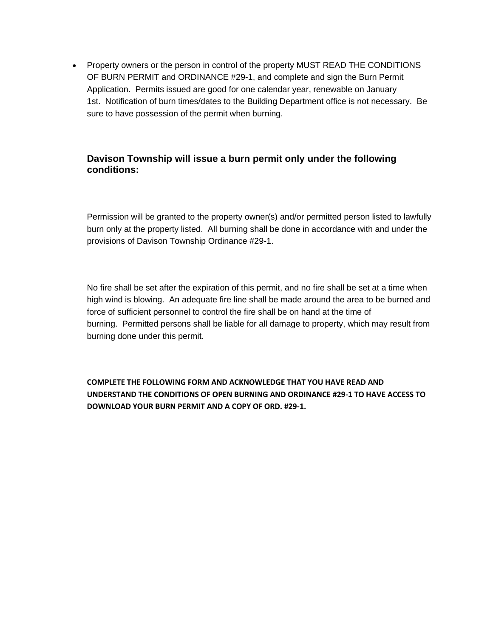• Property owners or the person in control of the property MUST READ THE CONDITIONS OF BURN PERMIT and ORDINANCE #29-1, and complete and sign the Burn Permit Application. Permits issued are good for one calendar year, renewable on January 1st. Notification of burn times/dates to the Building Department office is not necessary. Be sure to have possession of the permit when burning.

## **Davison Township will issue a burn permit only under the following conditions:**

Permission will be granted to the property owner(s) and/or permitted person listed to lawfully burn only at the property listed. All burning shall be done in accordance with and under the provisions of Davison Township Ordinance #29-1.

No fire shall be set after the expiration of this permit, and no fire shall be set at a time when high wind is blowing. An adequate fire line shall be made around the area to be burned and force of sufficient personnel to control the fire shall be on hand at the time of burning. Permitted persons shall be liable for all damage to property, which may result from burning done under this permit.

**COMPLETE THE FOLLOWING FORM AND ACKNOWLEDGE THAT YOU HAVE READ AND UNDERSTAND THE CONDITIONS OF OPEN BURNING AND ORDINANCE #29-1 TO HAVE ACCESS TO DOWNLOAD YOUR BURN PERMIT AND A COPY OF ORD. #29-1.**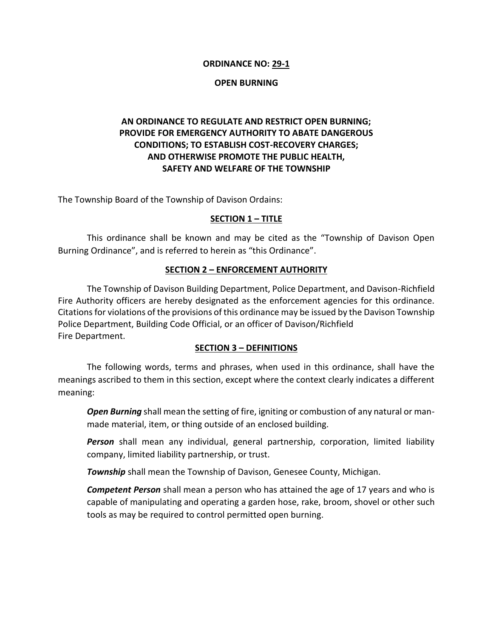#### **ORDINANCE NO: 29-1**

#### **OPEN BURNING**

# **AN ORDINANCE TO REGULATE AND RESTRICT OPEN BURNING; PROVIDE FOR EMERGENCY AUTHORITY TO ABATE DANGEROUS CONDITIONS; TO ESTABLISH COST-RECOVERY CHARGES; AND OTHERWISE PROMOTE THE PUBLIC HEALTH, SAFETY AND WELFARE OF THE TOWNSHIP**

The Township Board of the Township of Davison Ordains:

#### **SECTION 1 – TITLE**

This ordinance shall be known and may be cited as the "Township of Davison Open Burning Ordinance", and is referred to herein as "this Ordinance".

#### **SECTION 2 – ENFORCEMENT AUTHORITY**

The Township of Davison Building Department, Police Department, and Davison-Richfield Fire Authority officers are hereby designated as the enforcement agencies for this ordinance. Citations for violations of the provisions of this ordinance may be issued by the Davison Township Police Department, Building Code Official, or an officer of Davison/Richfield Fire Department.

#### **SECTION 3 – DEFINITIONS**

The following words, terms and phrases, when used in this ordinance, shall have the meanings ascribed to them in this section, except where the context clearly indicates a different meaning:

*Open Burning* shall mean the setting of fire, igniting or combustion of any natural or manmade material, item, or thing outside of an enclosed building.

*Person* shall mean any individual, general partnership, corporation, limited liability company, limited liability partnership, or trust.

*Township* shall mean the Township of Davison, Genesee County, Michigan.

*Competent Person* shall mean a person who has attained the age of 17 years and who is capable of manipulating and operating a garden hose, rake, broom, shovel or other such tools as may be required to control permitted open burning.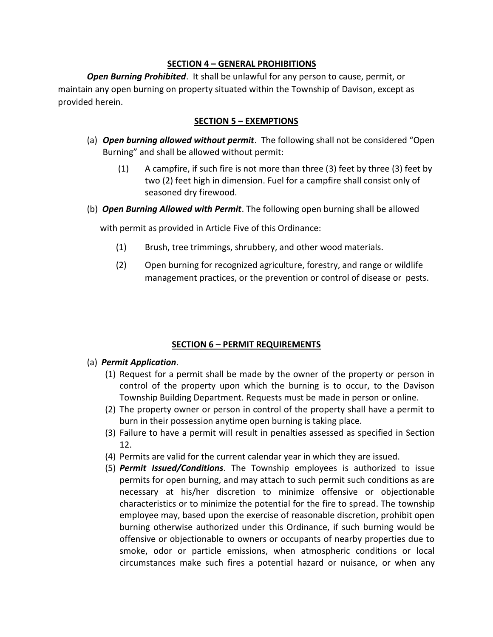#### **SECTION 4 – GENERAL PROHIBITIONS**

*Open Burning Prohibited*. It shall be unlawful for any person to cause, permit, or maintain any open burning on property situated within the Township of Davison, except as provided herein.

### **SECTION 5 – EXEMPTIONS**

- (a) *Open burning allowed without permit*. The following shall not be considered "Open Burning" and shall be allowed without permit:
	- (1) A campfire, if such fire is not more than three (3) feet by three (3) feet by two (2) feet high in dimension. Fuel for a campfire shall consist only of seasoned dry firewood.
- (b) *Open Burning Allowed with Permit*. The following open burning shall be allowed

with permit as provided in Article Five of this Ordinance:

- (1) Brush, tree trimmings, shrubbery, and other wood materials.
- (2) Open burning for recognized agriculture, forestry, and range or wildlife management practices, or the prevention or control of disease or pests.

### **SECTION 6 – PERMIT REQUIREMENTS**

#### (a) *Permit Application*.

- (1) Request for a permit shall be made by the owner of the property or person in control of the property upon which the burning is to occur, to the Davison Township Building Department. Requests must be made in person or online.
- (2) The property owner or person in control of the property shall have a permit to burn in their possession anytime open burning is taking place.
- (3) Failure to have a permit will result in penalties assessed as specified in Section 12.
- (4) Permits are valid for the current calendar year in which they are issued.
- (5) *Permit Issued/Conditions*. The Township employees is authorized to issue permits for open burning, and may attach to such permit such conditions as are necessary at his/her discretion to minimize offensive or objectionable characteristics or to minimize the potential for the fire to spread. The township employee may, based upon the exercise of reasonable discretion, prohibit open burning otherwise authorized under this Ordinance, if such burning would be offensive or objectionable to owners or occupants of nearby properties due to smoke, odor or particle emissions, when atmospheric conditions or local circumstances make such fires a potential hazard or nuisance, or when any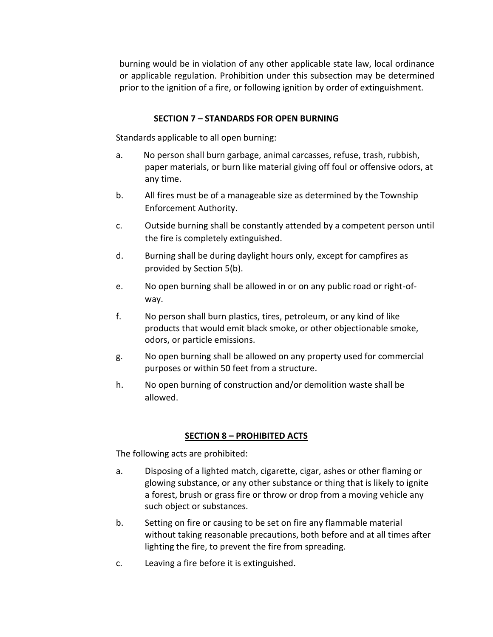burning would be in violation of any other applicable state law, local ordinance or applicable regulation. Prohibition under this subsection may be determined prior to the ignition of a fire, or following ignition by order of extinguishment.

#### **SECTION 7 – STANDARDS FOR OPEN BURNING**

Standards applicable to all open burning:

- a. No person shall burn garbage, animal carcasses, refuse, trash, rubbish, paper materials, or burn like material giving off foul or offensive odors, at any time.
- b. All fires must be of a manageable size as determined by the Township Enforcement Authority.
- c. Outside burning shall be constantly attended by a competent person until the fire is completely extinguished.
- d. Burning shall be during daylight hours only, except for campfires as provided by Section 5(b).
- e. No open burning shall be allowed in or on any public road or right-ofway.
- f. No person shall burn plastics, tires, petroleum, or any kind of like products that would emit black smoke, or other objectionable smoke, odors, or particle emissions.
- g. No open burning shall be allowed on any property used for commercial purposes or within 50 feet from a structure.
- h. No open burning of construction and/or demolition waste shall be allowed.

### **SECTION 8 – PROHIBITED ACTS**

The following acts are prohibited:

- a. Disposing of a lighted match, cigarette, cigar, ashes or other flaming or glowing substance, or any other substance or thing that is likely to ignite a forest, brush or grass fire or throw or drop from a moving vehicle any such object or substances.
- b. Setting on fire or causing to be set on fire any flammable material without taking reasonable precautions, both before and at all times after lighting the fire, to prevent the fire from spreading.
- c. Leaving a fire before it is extinguished.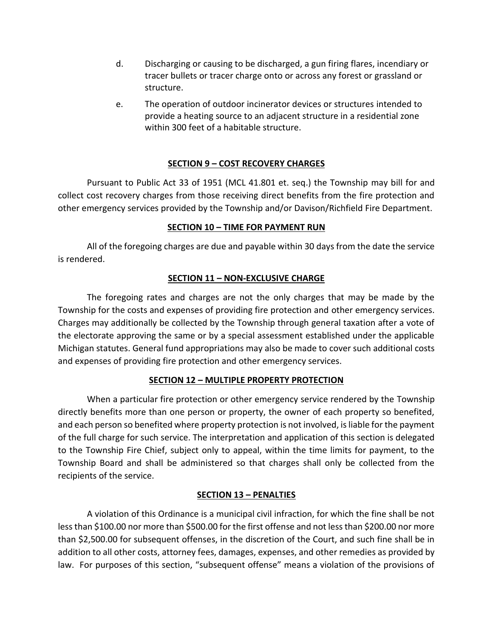- d. Discharging or causing to be discharged, a gun firing flares, incendiary or tracer bullets or tracer charge onto or across any forest or grassland or structure.
- e. The operation of outdoor incinerator devices or structures intended to provide a heating source to an adjacent structure in a residential zone within 300 feet of a habitable structure.

## **SECTION 9 – COST RECOVERY CHARGES**

Pursuant to Public Act 33 of 1951 (MCL 41.801 et. seq.) the Township may bill for and collect cost recovery charges from those receiving direct benefits from the fire protection and other emergency services provided by the Township and/or Davison/Richfield Fire Department.

### **SECTION 10 – TIME FOR PAYMENT RUN**

All of the foregoing charges are due and payable within 30 days from the date the service is rendered.

### **SECTION 11 – NON-EXCLUSIVE CHARGE**

The foregoing rates and charges are not the only charges that may be made by the Township for the costs and expenses of providing fire protection and other emergency services. Charges may additionally be collected by the Township through general taxation after a vote of the electorate approving the same or by a special assessment established under the applicable Michigan statutes. General fund appropriations may also be made to cover such additional costs and expenses of providing fire protection and other emergency services.

### **SECTION 12 – MULTIPLE PROPERTY PROTECTION**

When a particular fire protection or other emergency service rendered by the Township directly benefits more than one person or property, the owner of each property so benefited, and each person so benefited where property protection is not involved, is liable for the payment of the full charge for such service. The interpretation and application of this section is delegated to the Township Fire Chief, subject only to appeal, within the time limits for payment, to the Township Board and shall be administered so that charges shall only be collected from the recipients of the service.

### **SECTION 13 – PENALTIES**

A violation of this Ordinance is a municipal civil infraction, for which the fine shall be not less than \$100.00 nor more than \$500.00 for the first offense and not less than \$200.00 nor more than \$2,500.00 for subsequent offenses, in the discretion of the Court, and such fine shall be in addition to all other costs, attorney fees, damages, expenses, and other remedies as provided by law. For purposes of this section, "subsequent offense" means a violation of the provisions of